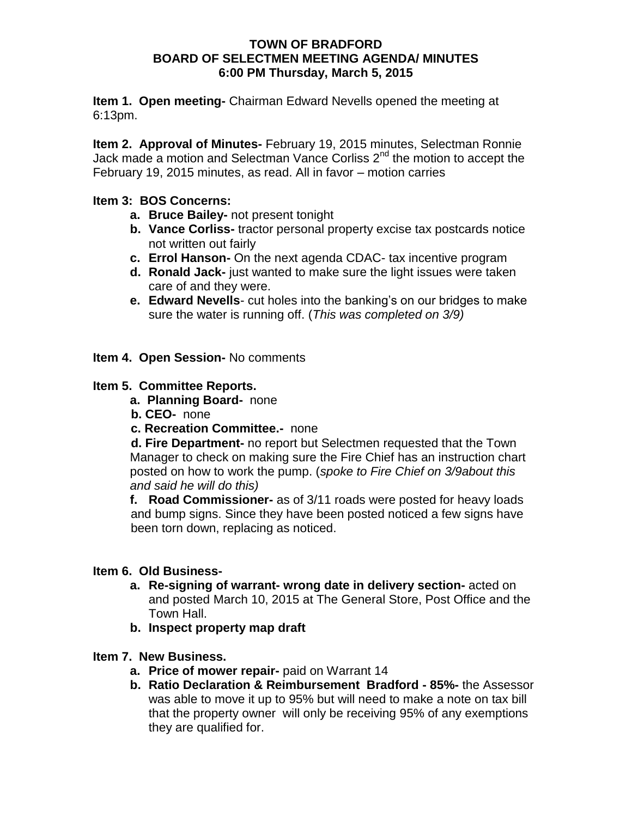#### **TOWN OF BRADFORD BOARD OF SELECTMEN MEETING AGENDA/ MINUTES 6:00 PM Thursday, March 5, 2015**

**Item 1. Open meeting-** Chairman Edward Nevells opened the meeting at 6:13pm.

**Item 2. Approval of Minutes-** February 19, 2015 minutes, Selectman Ronnie Jack made a motion and Selectman Vance Corliss 2<sup>nd</sup> the motion to accept the February 19, 2015 minutes, as read. All in favor – motion carries

## **Item 3: BOS Concerns:**

- **a. Bruce Bailey-** not present tonight
- **b. Vance Corliss-** tractor personal property excise tax postcards notice not written out fairly
- **c. Errol Hanson-** On the next agenda CDAC- tax incentive program
- **d. Ronald Jack-** just wanted to make sure the light issues were taken care of and they were.
- **e. Edward Nevells** cut holes into the banking's on our bridges to make sure the water is running off. (*This was completed on 3/9)*

**Item 4. Open Session-** No comments

#### **Item 5. Committee Reports.**

- **a. Planning Board-** none
- **b. CEO-** none
- **c. Recreation Committee.-** none

 **d. Fire Department-** no report but Selectmen requested that the Town Manager to check on making sure the Fire Chief has an instruction chart posted on how to work the pump. (*spoke to Fire Chief on 3/9about this and said he will do this)*

**f. Road Commissioner-** as of 3/11 roads were posted for heavy loads and bump signs. Since they have been posted noticed a few signs have been torn down, replacing as noticed.

### **Item 6. Old Business-**

- **a. Re-signing of warrant- wrong date in delivery section-** acted on and posted March 10, 2015 at The General Store, Post Office and the Town Hall.
- **b. Inspect property map draft**

### **Item 7. New Business.**

- **a. Price of mower repair-** paid on Warrant 14
- **b. Ratio Declaration & Reimbursement Bradford - 85%-** the Assessor was able to move it up to 95% but will need to make a note on tax bill that the property owner will only be receiving 95% of any exemptions they are qualified for.